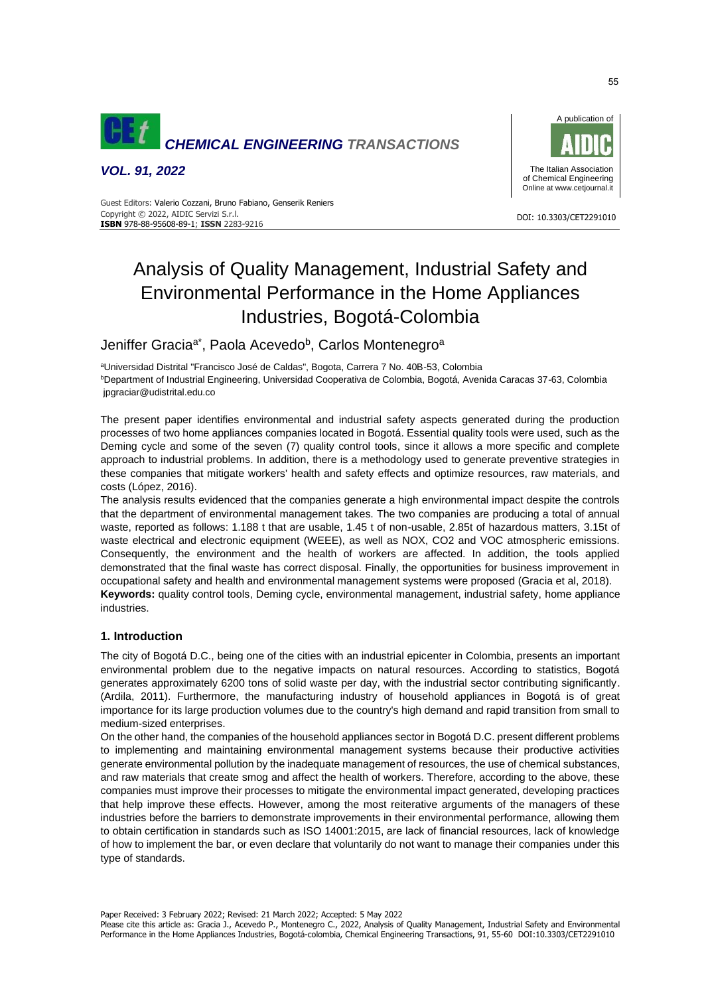

*VOL. 91, 2022*



DOI: 10.3303/CET2291010

 Guest Editors: Valerio Cozzani, Bruno Fabiano, Genserik Reniers Copyright © 2022, AIDIC Servizi S.r.l. **ISBN** 978-88-95608-89-1; **ISSN** 2283-9216

# Analysis of Quality Management, Industrial Safety and Environmental Performance in the Home Appliances Industries, Bogotá-Colombia

Jeniffer Gracia<sup>a\*</sup>, Paola Acevedo<sup>b</sup>, Carlos Montenegro<sup>a</sup>

<sup>a</sup>Universidad Distrital "Francisco José de Caldas", Bogota, Carrera 7 No. 40B-53, Colombia <sup>b</sup>Department of Industrial Engineering, Universidad Cooperativa de Colombia, Bogotá, Avenida Caracas 37-63, Colombia [jpgraciar@udistrital.edu.co](mailto:jpgraciar@udistrital.edu.co)

The present paper identifies environmental and industrial safety aspects generated during the production processes of two home appliances companies located in Bogotá. Essential quality tools were used, such as the Deming cycle and some of the seven (7) quality control tools, since it allows a more specific and complete approach to industrial problems. In addition, there is a methodology used to generate preventive strategies in these companies that mitigate workers' health and safety effects and optimize resources, raw materials, and costs (López, 2016).

The analysis results evidenced that the companies generate a high environmental impact despite the controls that the department of environmental management takes. The two companies are producing a total of annual waste, reported as follows: 1.188 t that are usable, 1.45 t of non-usable, 2.85t of hazardous matters, 3.15t of waste electrical and electronic equipment (WEEE), as well as NOX, CO2 and VOC atmospheric emissions. Consequently, the environment and the health of workers are affected. In addition, the tools applied demonstrated that the final waste has correct disposal. Finally, the opportunities for business improvement in occupational safety and health and environmental management systems were proposed (Gracia et al, 2018). **Keywords:** quality control tools, Deming cycle, environmental management, industrial safety, home appliance industries.

# **1. Introduction**

The city of Bogotá D.C., being one of the cities with an industrial epicenter in Colombia, presents an important environmental problem due to the negative impacts on natural resources. According to statistics, Bogotá generates approximately 6200 tons of solid waste per day, with the industrial sector contributing significantly. (Ardila, 2011). Furthermore, the manufacturing industry of household appliances in Bogotá is of great importance for its large production volumes due to the country's high demand and rapid transition from small to medium-sized enterprises.

On the other hand, the companies of the household appliances sector in Bogotá D.C. present different problems to implementing and maintaining environmental management systems because their productive activities generate environmental pollution by the inadequate management of resources, the use of chemical substances, and raw materials that create smog and affect the health of workers. Therefore, according to the above, these companies must improve their processes to mitigate the environmental impact generated, developing practices that help improve these effects. However, among the most reiterative arguments of the managers of these industries before the barriers to demonstrate improvements in their environmental performance, allowing them to obtain certification in standards such as ISO 14001:2015, are lack of financial resources, lack of knowledge of how to implement the bar, or even declare that voluntarily do not want to manage their companies under this type of standards.

Please cite this article as: Gracia J., Acevedo P., Montenegro C., 2022, Analysis of Quality Management, Industrial Safety and Environmental Performance in the Home Appliances Industries, Bogotá-colombia, Chemical Engineering Transactions, 91, 55-60 DOI:10.3303/CET2291010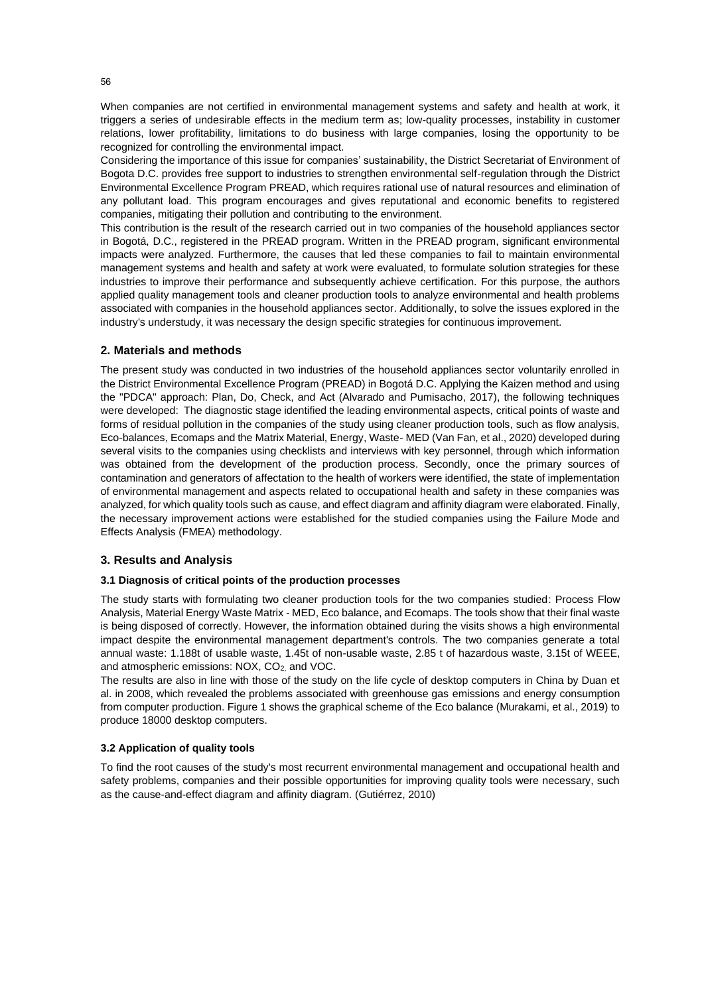When companies are not certified in environmental management systems and safety and health at work, it triggers a series of undesirable effects in the medium term as; low-quality processes, instability in customer relations, lower profitability, limitations to do business with large companies, losing the opportunity to be recognized for controlling the environmental impact.

Considering the importance of this issue for companies' sustainability, the District Secretariat of Environment of Bogota D.C. provides free support to industries to strengthen environmental self-regulation through the District Environmental Excellence Program PREAD, which requires rational use of natural resources and elimination of any pollutant load. This program encourages and gives reputational and economic benefits to registered companies, mitigating their pollution and contributing to the environment.

This contribution is the result of the research carried out in two companies of the household appliances sector in Bogotá, D.C., registered in the PREAD program. Written in the PREAD program, significant environmental impacts were analyzed. Furthermore, the causes that led these companies to fail to maintain environmental management systems and health and safety at work were evaluated, to formulate solution strategies for these industries to improve their performance and subsequently achieve certification. For this purpose, the authors applied quality management tools and cleaner production tools to analyze environmental and health problems associated with companies in the household appliances sector. Additionally, to solve the issues explored in the industry's understudy, it was necessary the design specific strategies for continuous improvement.

# **2. Materials and methods**

The present study was conducted in two industries of the household appliances sector voluntarily enrolled in the District Environmental Excellence Program (PREAD) in Bogotá D.C. Applying the Kaizen method and using the "PDCA" approach: Plan, Do, Check, and Act (Alvarado and Pumisacho, 2017), the following techniques were developed: The diagnostic stage identified the leading environmental aspects, critical points of waste and forms of residual pollution in the companies of the study using cleaner production tools, such as flow analysis, Eco-balances, Ecomaps and the Matrix Material, Energy, Waste- MED (Van Fan, et al., 2020) developed during several visits to the companies using checklists and interviews with key personnel, through which information was obtained from the development of the production process. Secondly, once the primary sources of contamination and generators of affectation to the health of workers were identified, the state of implementation of environmental management and aspects related to occupational health and safety in these companies was analyzed, for which quality tools such as cause, and effect diagram and affinity diagram were elaborated. Finally, the necessary improvement actions were established for the studied companies using the Failure Mode and Effects Analysis (FMEA) methodology.

# **3. Results and Analysis**

# **3.1 Diagnosis of critical points of the production processes**

The study starts with formulating two cleaner production tools for the two companies studied: Process Flow Analysis, Material Energy Waste Matrix - MED, Eco balance, and Ecomaps. The tools show that their final waste is being disposed of correctly. However, the information obtained during the visits shows a high environmental impact despite the environmental management department's controls. The two companies generate a total annual waste: 1.188t of usable waste, 1.45t of non-usable waste, 2.85 t of hazardous waste, 3.15t of WEEE, and atmospheric emissions: NOX, CO<sub>2</sub> and VOC.

The results are also in line with those of the study on the life cycle of desktop computers in China by Duan et al. in 2008, which revealed the problems associated with greenhouse gas emissions and energy consumption from computer production. Figure 1 shows the graphical scheme of the Eco balance (Murakami, et al., 2019) to produce 18000 desktop computers.

# **3.2 Application of quality tools**

To find the root causes of the study's most recurrent environmental management and occupational health and safety problems, companies and their possible opportunities for improving quality tools were necessary, such as the cause-and-effect diagram and affinity diagram. (Gutiérrez, 2010)

56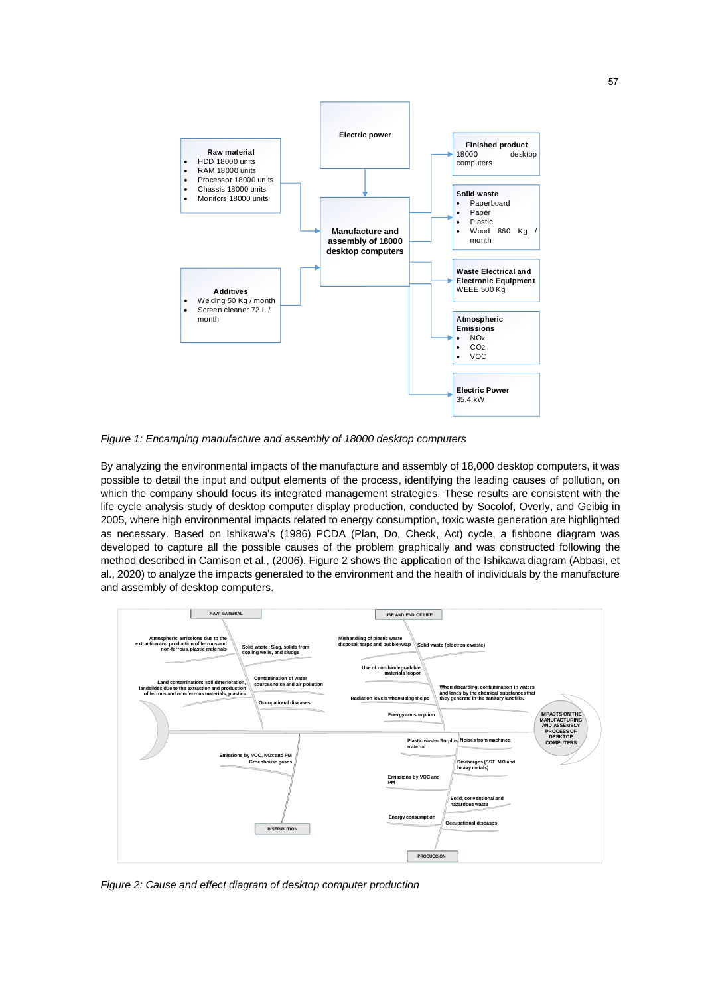

*Figure 1: Encamping manufacture and assembly of 18000 desktop computers*

By analyzing the environmental impacts of the manufacture and assembly of 18,000 desktop computers, it was possible to detail the input and output elements of the process, identifying the leading causes of pollution, on which the company should focus its integrated management strategies. These results are consistent with the life cycle analysis study of desktop computer display production, conducted by Socolof, Overly, and Geibig in 2005, where high environmental impacts related to energy consumption, toxic waste generation are highlighted as necessary. Based on Ishikawa's (1986) PCDA (Plan, Do, Check, Act) cycle, a fishbone diagram was developed to capture all the possible causes of the problem graphically and was constructed following the method described in Camison et al., (2006). Figure 2 shows the application of the Ishikawa diagram (Abbasi, et al., 2020) to analyze the impacts generated to the environment and the health of individuals by the manufacture and assembly of desktop computers.



*Figure 2: Cause and effect diagram of desktop computer production*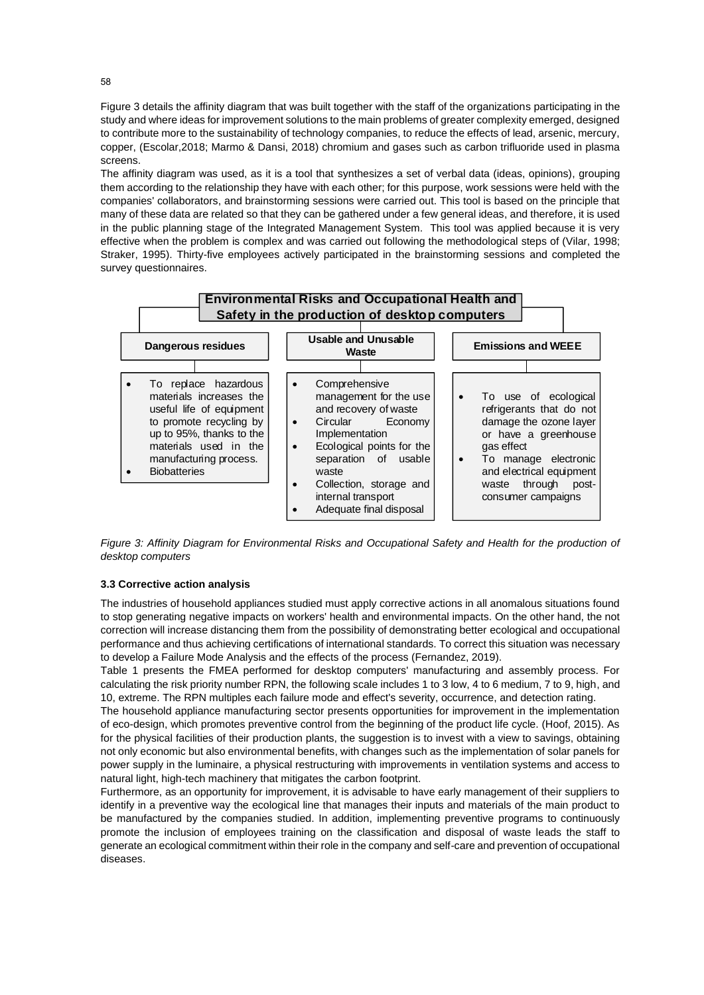Figure 3 details the affinity diagram that was built together with the staff of the organizations participating in the study and where ideas for improvement solutions to the main problems of greater complexity emerged, designed to contribute more to the sustainability of technology companies, to reduce the effects of lead, arsenic, mercury, copper, (Escolar,2018; Marmo & Dansi, 2018) chromium and gases such as carbon trifluoride used in plasma screens.

The affinity diagram was used, as it is a tool that synthesizes a set of verbal data (ideas, opinions), grouping them according to the relationship they have with each other; for this purpose, work sessions were held with the companies' collaborators, and brainstorming sessions were carried out. This tool is based on the principle that many of these data are related so that they can be gathered under a few general ideas, and therefore, it is used in the public planning stage of the Integrated Management System. This tool was applied because it is very effective when the problem is complex and was carried out following the methodological steps of (Vilar, 1998; Straker, 1995). Thirty-five employees actively participated in the brainstorming sessions and completed the survey questionnaires.



*Figure 3: Affinity Diagram for Environmental Risks and Occupational Safety and Health for the production of desktop computers*

### **3.3 Corrective action analysis**

The industries of household appliances studied must apply corrective actions in all anomalous situations found to stop generating negative impacts on workers' health and environmental impacts. On the other hand, the not correction will increase distancing them from the possibility of demonstrating better ecological and occupational performance and thus achieving certifications of international standards. To correct this situation was necessary to develop a Failure Mode Analysis and the effects of the process (Fernandez, 2019).

Table 1 presents the FMEA performed for desktop computers' manufacturing and assembly process. For calculating the risk priority number RPN, the following scale includes 1 to 3 low, 4 to 6 medium, 7 to 9, high, and 10, extreme. The RPN multiples each failure mode and effect's severity, occurrence, and detection rating.

The household appliance manufacturing sector presents opportunities for improvement in the implementation of eco-design, which promotes preventive control from the beginning of the product life cycle. (Hoof, 2015). As for the physical facilities of their production plants, the suggestion is to invest with a view to savings, obtaining not only economic but also environmental benefits, with changes such as the implementation of solar panels for power supply in the luminaire, a physical restructuring with improvements in ventilation systems and access to natural light, high-tech machinery that mitigates the carbon footprint.

Furthermore, as an opportunity for improvement, it is advisable to have early management of their suppliers to identify in a preventive way the ecological line that manages their inputs and materials of the main product to be manufactured by the companies studied. In addition, implementing preventive programs to continuously promote the inclusion of employees training on the classification and disposal of waste leads the staff to generate an ecological commitment within their role in the company and self-care and prevention of occupational diseases.

58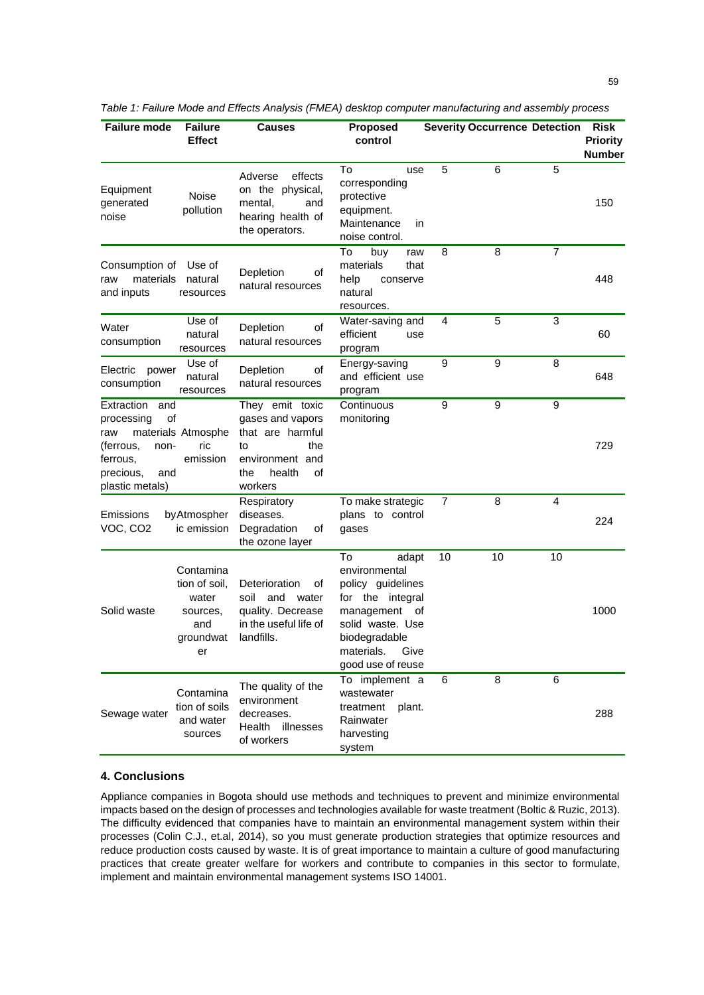| <b>Failure mode</b>                                                                                                  | <b>Failure</b><br><b>Effect</b>                                           | <b>Causes</b>                                                                                                             | <b>Proposed</b><br>control                                                                                                                                          |    | <b>Severity Occurrence Detection</b> |                | <b>Risk</b><br><b>Priority</b><br><b>Number</b> |
|----------------------------------------------------------------------------------------------------------------------|---------------------------------------------------------------------------|---------------------------------------------------------------------------------------------------------------------------|---------------------------------------------------------------------------------------------------------------------------------------------------------------------|----|--------------------------------------|----------------|-------------------------------------------------|
| Equipment<br>generated<br>noise                                                                                      | <b>Noise</b><br>pollution                                                 | effects<br>Adverse<br>on the physical,<br>mental.<br>and<br>hearing health of<br>the operators.                           | To<br>use<br>corresponding<br>protective<br>equipment.<br>Maintenance<br>in<br>noise control.                                                                       | 5  | 6                                    | 5              | 150                                             |
| Consumption of<br>materials<br>raw<br>and inputs                                                                     | Use of<br>natural<br>resources                                            | Depletion<br>οf<br>natural resources                                                                                      | To<br>buy<br>raw<br>materials<br>that<br>help<br>conserve<br>natural<br>resources.                                                                                  | 8  | 8                                    | $\overline{7}$ | 448                                             |
| Water<br>consumption                                                                                                 | Use of<br>natural<br>resources                                            | Depletion<br>οf<br>natural resources                                                                                      | Water-saving and<br>efficient<br>use<br>program                                                                                                                     | 4  | 5                                    | 3              | 60                                              |
| Electric<br>power<br>consumption                                                                                     | Use of<br>natural<br>resources                                            | Depletion<br>οf<br>natural resources                                                                                      | Energy-saving<br>and efficient use<br>program                                                                                                                       | 9  | 9                                    | 8              | 648                                             |
| Extraction<br>and<br>of<br>processing<br>raw<br>(ferrous,<br>non-<br>ferrous,<br>precious,<br>and<br>plastic metals) | materials Atmosphe<br>ric<br>emission                                     | They emit toxic<br>gases and vapors<br>that are harmful<br>the<br>to<br>environment and<br>health<br>οf<br>the<br>workers | Continuous<br>monitoring                                                                                                                                            | 9  | 9                                    | 9              | 729                                             |
| Emissions<br>VOC, CO <sub>2</sub>                                                                                    | by Atmospher<br>ic emission                                               | Respiratory<br>diseases.<br>Degradation<br>οf<br>the ozone layer                                                          | To make strategic<br>plans to control<br>gases                                                                                                                      | 7  | 8                                    | 4              | 224                                             |
| Solid waste                                                                                                          | Contamina<br>tion of soil,<br>water<br>sources,<br>and<br>groundwat<br>er | Deterioration<br>οf<br>and water<br>soil<br>quality. Decrease<br>in the useful life of<br>landfills.                      | To<br>adapt<br>environmental<br>policy guidelines<br>for the integral<br>management of<br>solid waste. Use<br>biodegradable<br>materials. Give<br>good use of reuse | 10 | 10                                   | 10             | 1000                                            |
| Sewage water                                                                                                         | Contamina<br>tion of soils<br>and water<br>sources                        | The quality of the<br>environment<br>decreases.<br>Health<br>illnesses<br>of workers                                      | To implement a<br>wastewater<br>treatment<br>plant.<br>Rainwater<br>harvesting<br>system                                                                            | 6  | 8                                    | 6              | 288                                             |

*Table 1: Failure Mode and Effects Analysis (FMEA) desktop computer manufacturing and assembly process*

## **4. Conclusions**

Appliance companies in Bogota should use methods and techniques to prevent and minimize environmental impacts based on the design of processes and technologies available for waste treatment (Boltic & Ruzic, 2013). The difficulty evidenced that companies have to maintain an environmental management system within their processes (Colin C.J., et.al, 2014), so you must generate production strategies that optimize resources and reduce production costs caused by waste. It is of great importance to maintain a culture of good manufacturing practices that create greater welfare for workers and contribute to companies in this sector to formulate, implement and maintain environmental management systems ISO 14001.